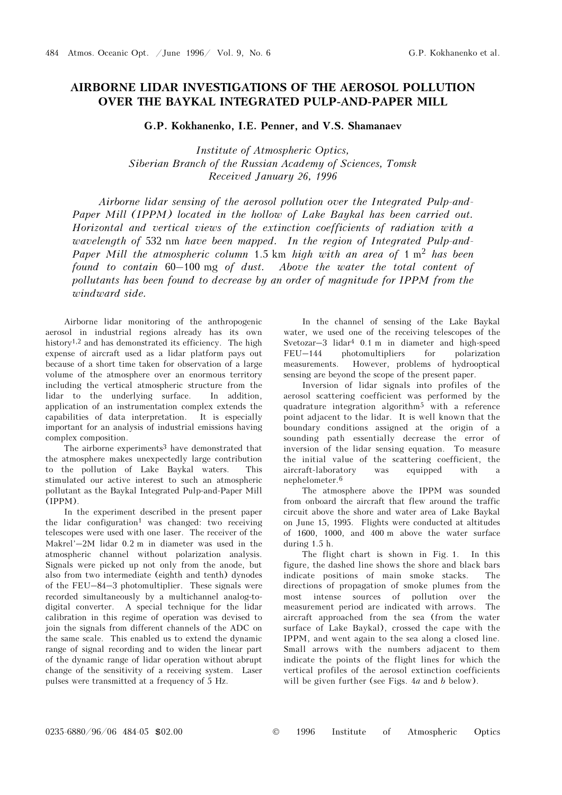## AIRBORNE LIDAR INVESTIGATIONS OF THE AEROSOL POLLUTION OVER THE BAYKAL INTEGRATED PULP-AND-PAPER MILL

G.P. Kokhanenko, I.E. Penner, and V.S. Shamanaev

Institute of Atmospheric Optics, Siberian Branch of the Russian Academy of Sciences, Tomsk Received January 26, 1996

Airborne lidar sensing of the aerosol pollution over the Integrated Pulp-and-Paper Mill (IPPM) located in the hollow of Lake Baykal has been carried out. Horizontal and vertical views of the extinction coefficients of radiation with a wavelength of 532 nm have been mapped. In the region of Integrated Pulp-and-Paper Mill the atmospheric column 1.5 km high with an area of  $1 \text{ m}^2$  has been found to contain 60–100 mg of dust. Above the water the total content of Paper Mill (IPPM) located in the hollow of Lake Baykal has been carried out.<br>Horizontal and vertical views of the extinction coefficients of radiation with a<br>wavelength of 532 nm have been mapped. In the region of Integra pollutants has been found to decrease by an order of magnitude for IPPM from the windward side.

Airborne lidar monitoring of the anthropogenic aerosol in industrial regions already has its own history1,2 and has demonstrated its efficiency. The high expense of aircraft used as a lidar platform pays out because of a short time taken for observation of a large volume of the atmosphere over an enormous territory including the vertical atmospheric structure from the lidar to the underlying surface. In addition, application of an instrumentation complex extends the capabilities of data interpretation. It is especially important for an analysis of industrial emissions having complex composition.

The airborne experiments<sup>3</sup> have demonstrated that the atmosphere makes unexpectedly large contribution to the pollution of Lake Baykal waters. This stimulated our active interest to such an atmospheric pollutant as the Baykal Integrated Pulp-and-Paper Mill (IPPM).

In the experiment described in the present paper the lidar configuration<sup>1</sup> was changed: two receiving telescopes were used with one laser. The receiver of the Makrel'–2M lidar 0.2 m in diameter was used in the atmospheric channel without polarization analysis. Signals were picked up not only from the anode, but also from two intermediate (eighth and tenth) dynodes of the FEU–84–3 photomultiplier. These signals were recorded simultaneously by a multichannel analog-todigital converter. A special technique for the lidar calibration in this regime of operation was devised to join the signals from different channels of the ADC on the same scale. This enabled us to extend the dynamic range of signal recording and to widen the linear part of the dynamic range of lidar operation without abrupt change of the sensitivity of a receiving system. Laser pulses were transmitted at a frequency of 5 Hz.

In the channel of sensing of the Lake Baykal water, we used one of the receiving telescopes of the Svetozar–3 lidar4 0.1 m in diameter and high-speed FEU–144 photomultipliers for polarization measurements. However, problems of hydrooptical sensing are beyond the scope of the present paper.

Inversion of lidar signals into profiles of the aerosol scattering coefficient was performed by the quadrature integration algorithm5 with a reference point adjacent to the lidar. It is well known that the boundary conditions assigned at the origin of a sounding path essentially decrease the error of inversion of the lidar sensing equation. To measure the initial value of the scattering coefficient, the aircraft-laboratory was equipped with a nephelometer.<sup>6</sup>

The atmosphere above the IPPM was sounded from onboard the aircraft that flew around the traffic circuit above the shore and water area of Lake Baykal on June 15, 1995. Flights were conducted at altitudes of 1600, 1000, and 400 m above the water surface during 1.5 h.

The flight chart is shown in Fig. 1. In this figure, the dashed line shows the shore and black bars indicate positions of main smoke stacks. The directions of propagation of smoke plumes from the most intense sources of pollution over the measurement period are indicated with arrows. The aircraft approached from the sea (from the water surface of Lake Baykal), crossed the cape with the IPPM, and went again to the sea along a closed line. Small arrows with the numbers adjacent to them indicate the points of the flight lines for which the vertical profiles of the aerosol extinction coefficients will be given further (see Figs. 4*a* and *b* below).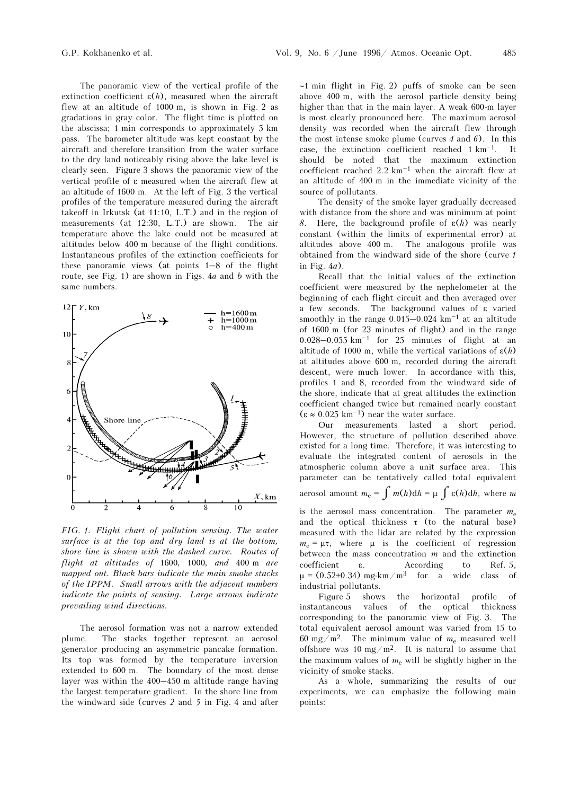The panoramic view of the vertical profile of the extinction coefficient  $\varepsilon(h)$ , measured when the aircraft flew at an altitude of 1000 m, is shown in Fig. 2 as gradations in gray color. The flight time is plotted on the abscissa; 1 min corresponds to approximately 5 km pass. The barometer altitude was kept constant by the aircraft and therefore transition from the water surface to the dry land noticeably rising above the lake level is clearly seen. Figure 3 shows the panoramic view of the vertical profile of ε measured when the aircraft flew at an altitude of 1600 m. At the left of Fig. 3 the vertical profiles of the temperature measured during the aircraft takeoff in Irkutsk (at 11:10, L.T.) and in the region of measurements (at 12:30, L.T.) are shown. The air temperature above the lake could not be measured at altitudes below 400 m because of the flight conditions. Instantaneous profiles of the extinction coefficients for these panoramic views (at points  $1-8$  of the flight route, see Fig. 1) are shown in Figs. 4a and b with the same numbers.



FIG. 1. Flight chart of pollution sensing. The water surface is at the top and dry land is at the bottom, shore line is shown with the dashed curve. Routes of flight at altitudes of 1600, 1000, and 400 m are mapped out. Black bars indicate the main smoke stacks of the IPPM. Small arrows with the adjacent numbers indicate the points of sensing. Large arrows indicate prevailing wind directions.

The aerosol formation was not a narrow extended plume. The stacks together represent an aerosol generator producing an asymmetric pancake formation. Its top was formed by the temperature inversion extended to 600 m. The boundary of the most dense layer was within the 400–450 m altitude range having the largest temperature gradient. In the shore line from the windward side (curves 2 and 5 in Fig. 4 and after

∼1 min flight in Fig. 2) puffs of smoke can be seen above 400 m, with the aerosol particle density being higher than that in the main layer. A weak 600-m layer is most clearly pronounced here. The maximum aerosol density was recorded when the aircraft flew through the most intense smoke plume (curves  $4$  and  $6$ ). In this case, the extinction coefficient reached  $1 \text{ km}^{-1}$ . It should be noted that the maximum extinction coefficient reached  $2.2 \text{ km}^{-1}$  when the aircraft flew at an altitude of 400 m in the immediate vicinity of the source of pollutants.

The density of the smoke layer gradually decreased with distance from the shore and was minimum at point 8. Here, the background profile of  $\varepsilon(h)$  was nearly constant (within the limits of experimental error) at altitudes above 400 m. The analogous profile was obtained from the windward side of the shore (curve 1 in Fig.  $4a$ ).

Recall that the initial values of the extinction coefficient were measured by the nephelometer at the beginning of each flight circuit and then averaged over a few seconds. The background values of ε varied smoothly in the range  $0.015-0.024$  km<sup>-1</sup> at an altitude of 1600 m (for 23 minutes of flight) and in the range 0.028–0.055  $km^{-1}$  for 25 minutes of flight at an altitude of 1000 m, while the vertical variations of  $\varepsilon(h)$ at altitudes above 600 m, recorded during the aircraft descent, were much lower. In accordance with this, profiles 1 and 8, recorded from the windward side of the shore, indicate that at great altitudes the extinction coefficient changed twice but remained nearly constant  $(\varepsilon \approx 0.025~\mathrm{km^{-1}})$  near the water surface.

Our measurements lasted a short period. However, the structure of pollution described above existed for a long time. Therefore, it was interesting to evaluate the integrated content of aerosols in the atmospheric column above a unit surface area. This parameter can be tentatively called total equivalent aerosol amount  $m_e = \int m(h) dh = \mu \int \varepsilon(h) dh$ , where m

is the aerosol mass concentration. The parameter  $m_e$ and the optical thickness  $\tau$  (to the natural base) measured with the lidar are related by the expression  $m_e = \mu \tau$ , where  $\mu$  is the coefficient of regression between the mass concentration  $m$  and the extinction coefficient ε. According to Ref. 5,  $\mu = (0.52\pm0.34)$  mg⋅km/m<sup>3</sup> for a wide class of industrial pollutants.

Figure 5 shows the horizontal profile of instantaneous values of the optical thickness corresponding to the panoramic view of Fig. 3. The total equivalent aerosol amount was varied from 15 to 60 mg/m<sup>2</sup>. The minimum value of  $m_e$  measured well offshore was 10 mg/m<sup>2</sup>. It is natural to assume that the maximum values of  $m_e$  will be slightly higher in the vicinity of smoke stacks.

As a whole, summarizing the results of our experiments, we can emphasize the following main points: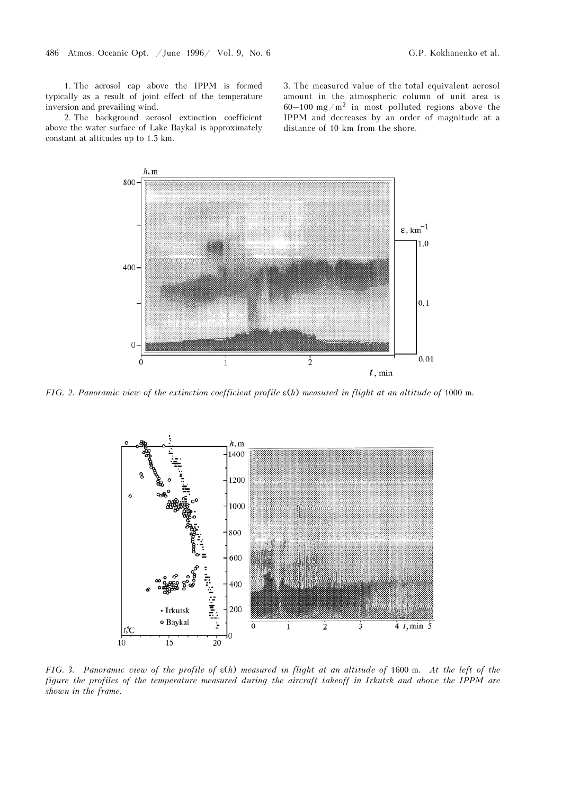1. The aerosol cap above the IPPM is formed typically as a result of joint effect of the temperature inversion and prevailing wind.

2. The background aerosol extinction coefficient above the water surface of Lake Baykal is approximately constant at altitudes up to 1.5 km.

3. The measured value of the total equivalent aerosol amount in the atmospheric column of unit area is  $60-100$  mg/m<sup>2</sup> in most polluted regions above the IPPM and decreases by an order of magnitude at a distance of 10 km from the shore.



FIG. 2. Panoramic view of the extinction coefficient profile ε(h) measured in flight at an altitude of 1000 m.



FIG. 3. Panoramic view of the profile of  $\varepsilon(h)$  measured in flight at an altitude of 1600 m. At the left of the figure the profiles of the temperature measured during the aircraft takeoff in Irkutsk and above the IPPM are shown in the frame.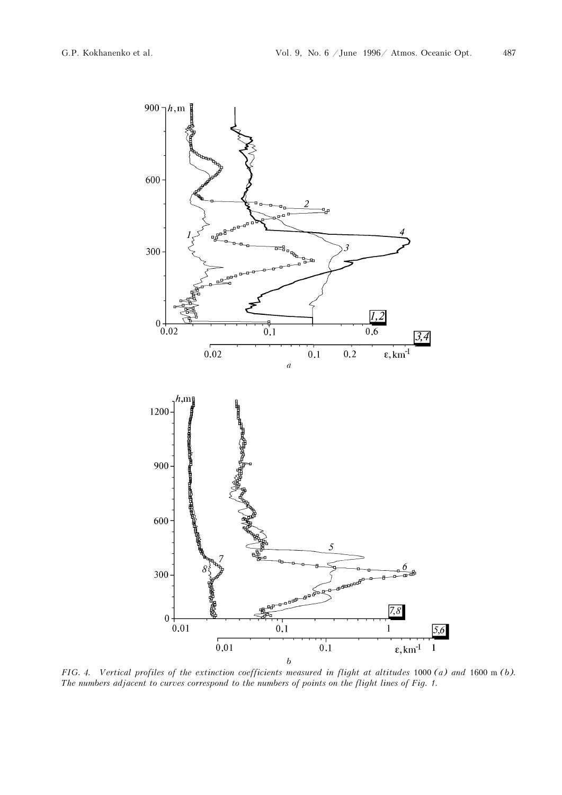

FIG. 4. Vertical profiles of the extinction coefficients measured in flight at altitudes 1000 (a) and 1600 m (b). The numbers adjacent to curves correspond to the numbers of points on the flight lines of Fig. 1.